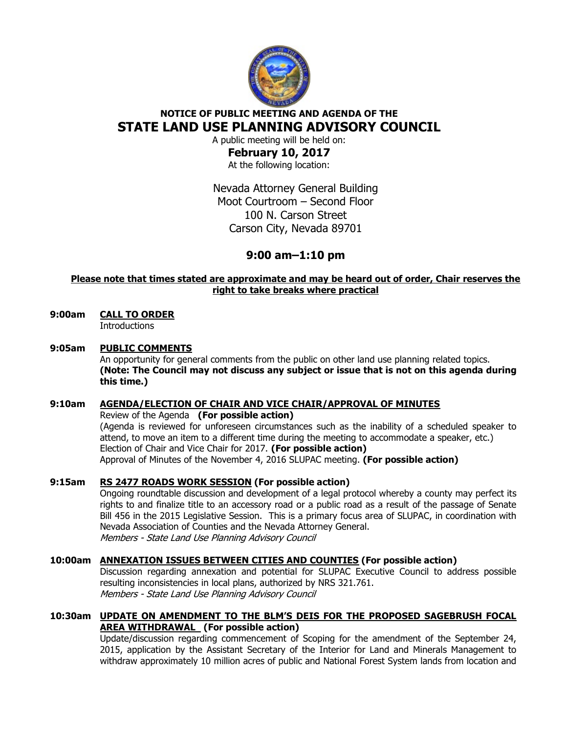

# NOTICE OF PUBLIC MEETING AND AGENDA OF THE STATE LAND USE PLANNING ADVISORY COUNCIL

A public meeting will be held on:

## February 10, 2017

At the following location:

Nevada Attorney General Building Moot Courtroom – Second Floor 100 N. Carson Street Carson City, Nevada 89701

# 9:00 am–1:10 pm

## Please note that times stated are approximate and may be heard out of order, Chair reserves the right to take breaks where practical

#### 9:00am CALL TO ORDER **Introductions**

#### 9:05am PUBLIC COMMENTS

An opportunity for general comments from the public on other land use planning related topics. (Note: The Council may not discuss any subject or issue that is not on this agenda during this time.)

### 9:10am AGENDA/ELECTION OF CHAIR AND VICE CHAIR/APPROVAL OF MINUTES

 Review of the Agenda (For possible action) (Agenda is reviewed for unforeseen circumstances such as the inability of a scheduled speaker to attend, to move an item to a different time during the meeting to accommodate a speaker, etc.) Election of Chair and Vice Chair for 2017. (For possible action) Approval of Minutes of the November 4, 2016 SLUPAC meeting. (For possible action)

# 9:15am RS 2477 ROADS WORK SESSION (For possible action)

 Ongoing roundtable discussion and development of a legal protocol whereby a county may perfect its rights to and finalize title to an accessory road or a public road as a result of the passage of Senate Bill 456 in the 2015 Legislative Session. This is a primary focus area of SLUPAC, in coordination with Nevada Association of Counties and the Nevada Attorney General. Members - State Land Use Planning Advisory Council

#### 10:00am **ANNEXATION ISSUES BETWEEN CITIES AND COUNTIES** (For possible action)

 Discussion regarding annexation and potential for SLUPAC Executive Council to address possible resulting inconsistencies in local plans, authorized by NRS 321.761. Members - State Land Use Planning Advisory Council

#### 10:30am UPDATE ON AMENDMENT TO THE BLM'S DEIS FOR THE PROPOSED SAGEBRUSH FOCAL AREA WITHDRAWAL (For possible action)

 Update/discussion regarding commencement of Scoping for the amendment of the September 24, 2015, application by the Assistant Secretary of the Interior for Land and Minerals Management to withdraw approximately 10 million acres of public and National Forest System lands from location and